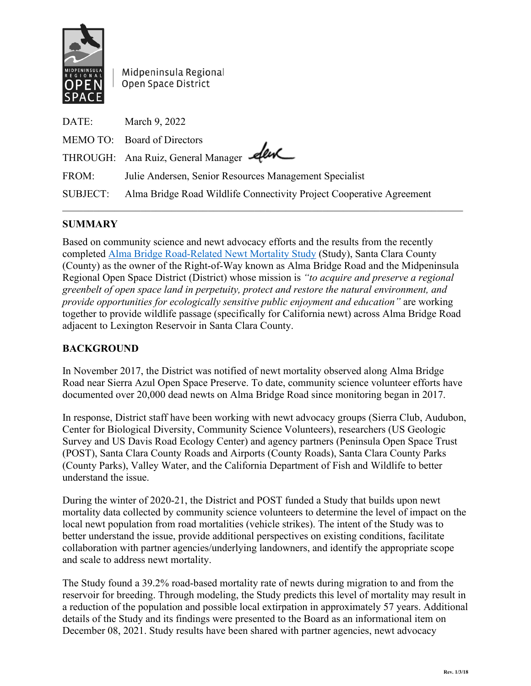

Midpeninsula Regional Open Space District

| DATE:    | March 9, 2022                                                        |
|----------|----------------------------------------------------------------------|
|          | MEMO TO: Board of Directors                                          |
|          | THROUGH: Ana Ruiz, General Manager                                   |
| FROM:    | Julie Andersen, Senior Resources Management Specialist               |
| SUBJECT: | Alma Bridge Road Wildlife Connectivity Project Cooperative Agreement |
|          |                                                                      |

## **SUMMARY**

Based on community science and newt advocacy efforts and the results from the recently completed [Alma Bridge Road-Related Newt Mortality Study](https://www.openspace.org/sites/default/files/20211112%20FINAL%20HTH%20-%20Revised%20Alma%20Bridge%20Road-Related%20Newt%20Mortality%20Study%20Report%20sm.pdf) (Study), Santa Clara County (County) as the owner of the Right-of-Way known as Alma Bridge Road and the Midpeninsula Regional Open Space District (District) whose mission is *"to acquire and preserve a regional greenbelt of open space land in perpetuity, protect and restore the natural environment, and provide opportunities for ecologically sensitive public enjoyment and education"* are working together to provide wildlife passage (specifically for California newt) across Alma Bridge Road adjacent to Lexington Reservoir in Santa Clara County.

## **BACKGROUND**

In November 2017, the District was notified of newt mortality observed along Alma Bridge Road near Sierra Azul Open Space Preserve. To date, community science volunteer efforts have documented over 20,000 dead newts on Alma Bridge Road since monitoring began in 2017.

In response, District staff have been working with newt advocacy groups (Sierra Club, Audubon, Center for Biological Diversity, Community Science Volunteers), researchers (US Geologic Survey and US Davis Road Ecology Center) and agency partners (Peninsula Open Space Trust (POST), Santa Clara County Roads and Airports (County Roads), Santa Clara County Parks (County Parks), Valley Water, and the California Department of Fish and Wildlife to better understand the issue.

During the winter of 2020-21, the District and POST funded a Study that builds upon newt mortality data collected by community science volunteers to determine the level of impact on the local newt population from road mortalities (vehicle strikes). The intent of the Study was to better understand the issue, provide additional perspectives on existing conditions, facilitate collaboration with partner agencies/underlying landowners, and identify the appropriate scope and scale to address newt mortality.

The Study found a 39.2% road-based mortality rate of newts during migration to and from the reservoir for breeding. Through modeling, the Study predicts this level of mortality may result in a reduction of the population and possible local extirpation in approximately 57 years. Additional details of the Study and its findings were presented to the Board as an informational item on December 08, 2021. Study results have been shared with partner agencies, newt advocacy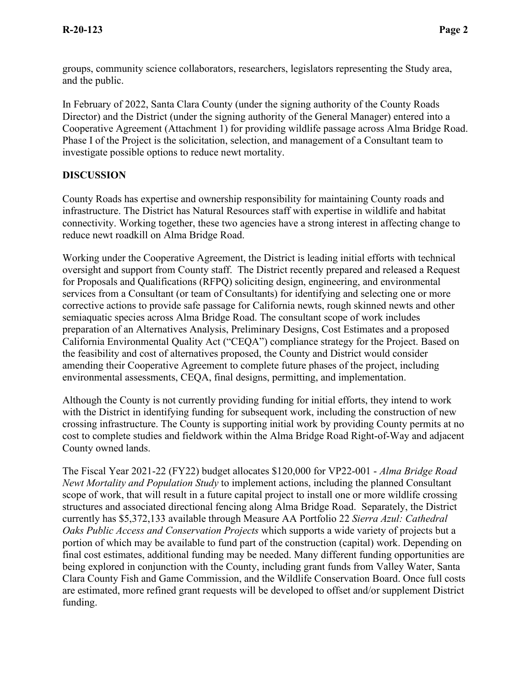groups, community science collaborators, researchers, legislators representing the Study area, and the public.

In February of 2022, Santa Clara County (under the signing authority of the County Roads Director) and the District (under the signing authority of the General Manager) entered into a Cooperative Agreement (Attachment 1) for providing wildlife passage across Alma Bridge Road. Phase I of the Project is the solicitation, selection, and management of a Consultant team to investigate possible options to reduce newt mortality.

## **DISCUSSION**

County Roads has expertise and ownership responsibility for maintaining County roads and infrastructure. The District has Natural Resources staff with expertise in wildlife and habitat connectivity. Working together, these two agencies have a strong interest in affecting change to reduce newt roadkill on Alma Bridge Road.

Working under the Cooperative Agreement, the District is leading initial efforts with technical oversight and support from County staff. The District recently prepared and released a Request for Proposals and Qualifications (RFPQ) soliciting design, engineering, and environmental services from a Consultant (or team of Consultants) for identifying and selecting one or more corrective actions to provide safe passage for California newts, rough skinned newts and other semiaquatic species across Alma Bridge Road. The consultant scope of work includes preparation of an Alternatives Analysis, Preliminary Designs, Cost Estimates and a proposed California Environmental Quality Act ("CEQA") compliance strategy for the Project. Based on the feasibility and cost of alternatives proposed, the County and District would consider amending their Cooperative Agreement to complete future phases of the project, including environmental assessments, CEQA, final designs, permitting, and implementation.

Although the County is not currently providing funding for initial efforts, they intend to work with the District in identifying funding for subsequent work, including the construction of new crossing infrastructure. The County is supporting initial work by providing County permits at no cost to complete studies and fieldwork within the Alma Bridge Road Right-of-Way and adjacent County owned lands.

The Fiscal Year 2021-22 (FY22) budget allocates \$120,000 for VP22-001 - *Alma Bridge Road Newt Mortality and Population Study* to implement actions, including the planned Consultant scope of work, that will result in a future capital project to install one or more wildlife crossing structures and associated directional fencing along Alma Bridge Road. Separately, the District currently has \$5,372,133 available through Measure AA Portfolio 22 *Sierra Azul: Cathedral Oaks Public Access and Conservation Projects* which supports a wide variety of projects but a portion of which may be available to fund part of the construction (capital) work. Depending on final cost estimates, additional funding may be needed. Many different funding opportunities are being explored in conjunction with the County, including grant funds from Valley Water, Santa Clara County Fish and Game Commission, and the Wildlife Conservation Board. Once full costs are estimated, more refined grant requests will be developed to offset and/or supplement District funding.